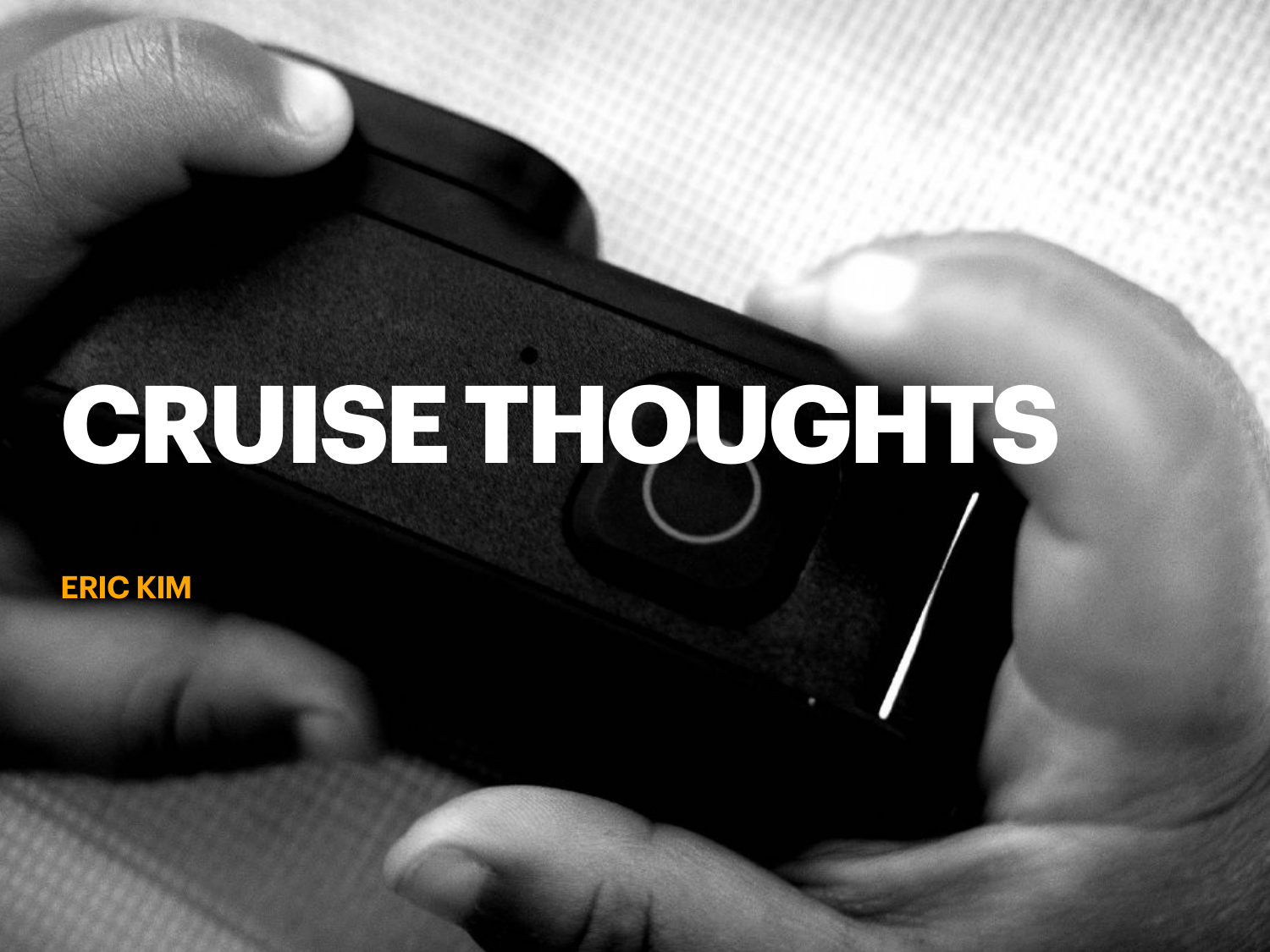# **CRUISE THOUGHTS**

**ERIC KIM**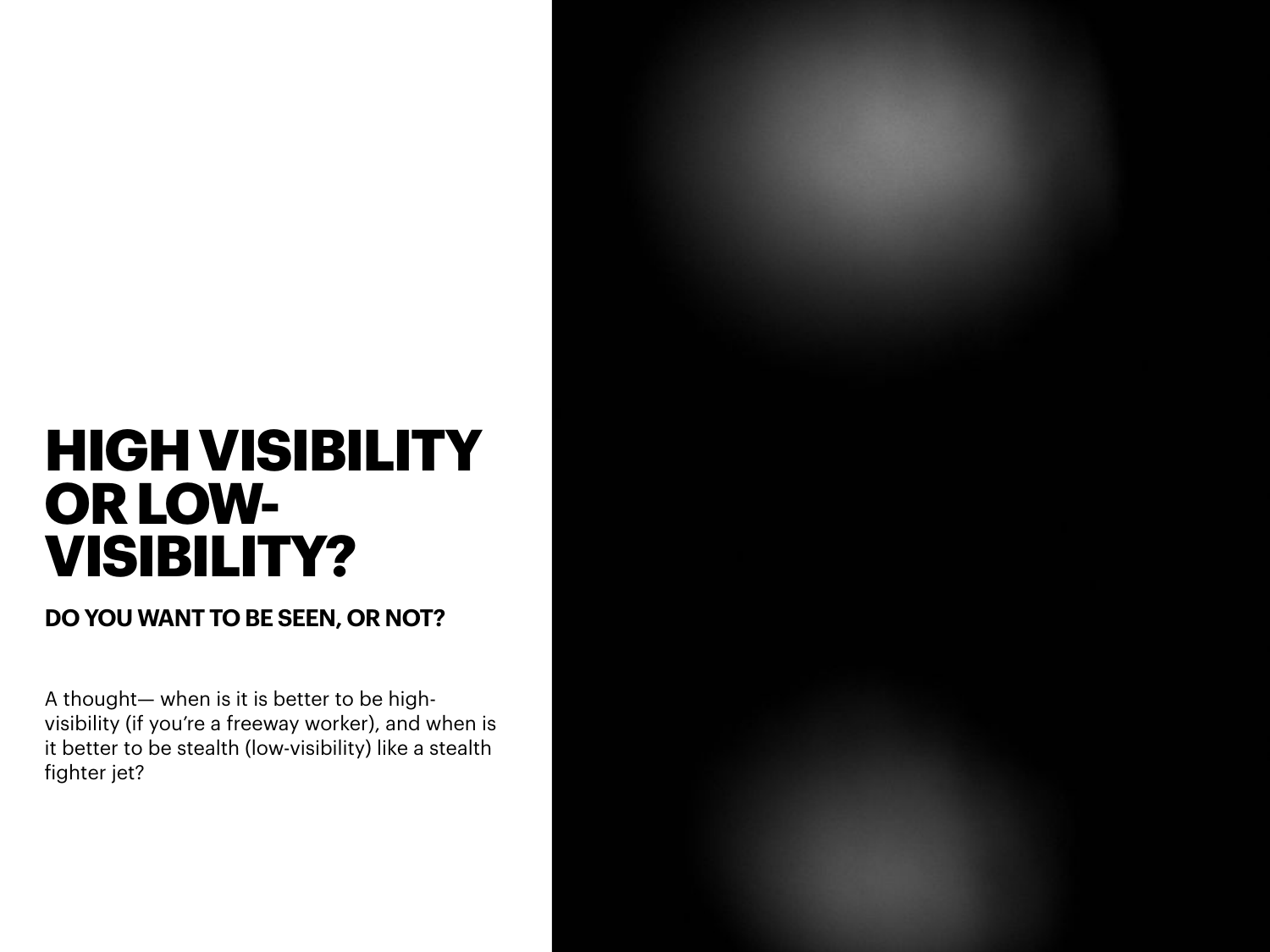# **HIGH VISIBILITY OR LOW-VISIBILITY?**

**DO YOU WANT TO BE SEEN, OR NOT?**

A thought— when is it is better to be highvisibility (if you're a freeway worker), and when is it better to be stealth (low-visibility) like a stealth fighter jet?

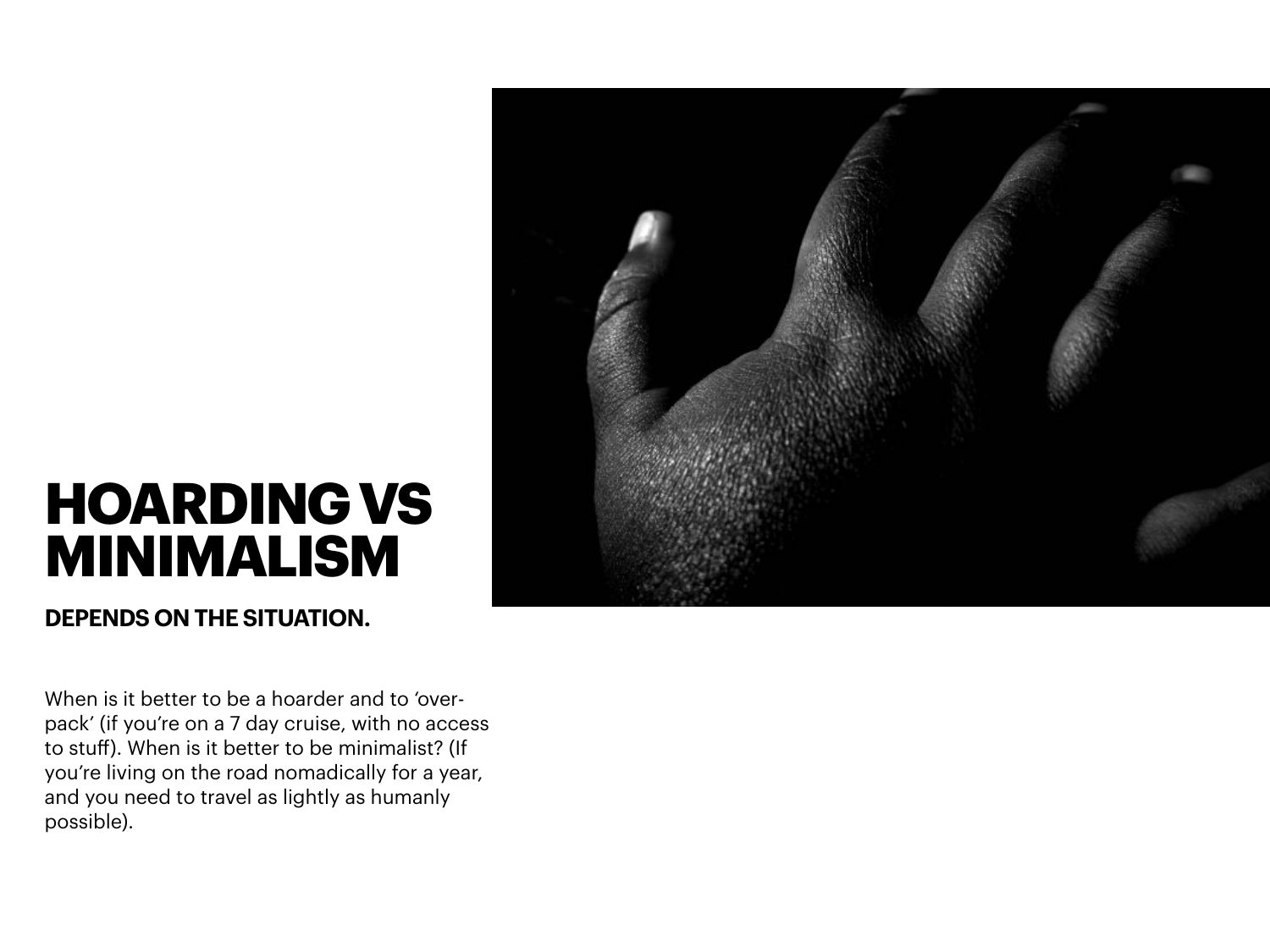

# **HOARDING VS MINIMALISM**

**DEPENDS ON THE SITUATION.**

When is it better to be a hoarder and to 'overpack' (if you're on a 7 day cruise, with no access to stuff). When is it better to be minimalist? (If you're living on the road nomadically for a year, and you need to travel as lightly as humanly possible).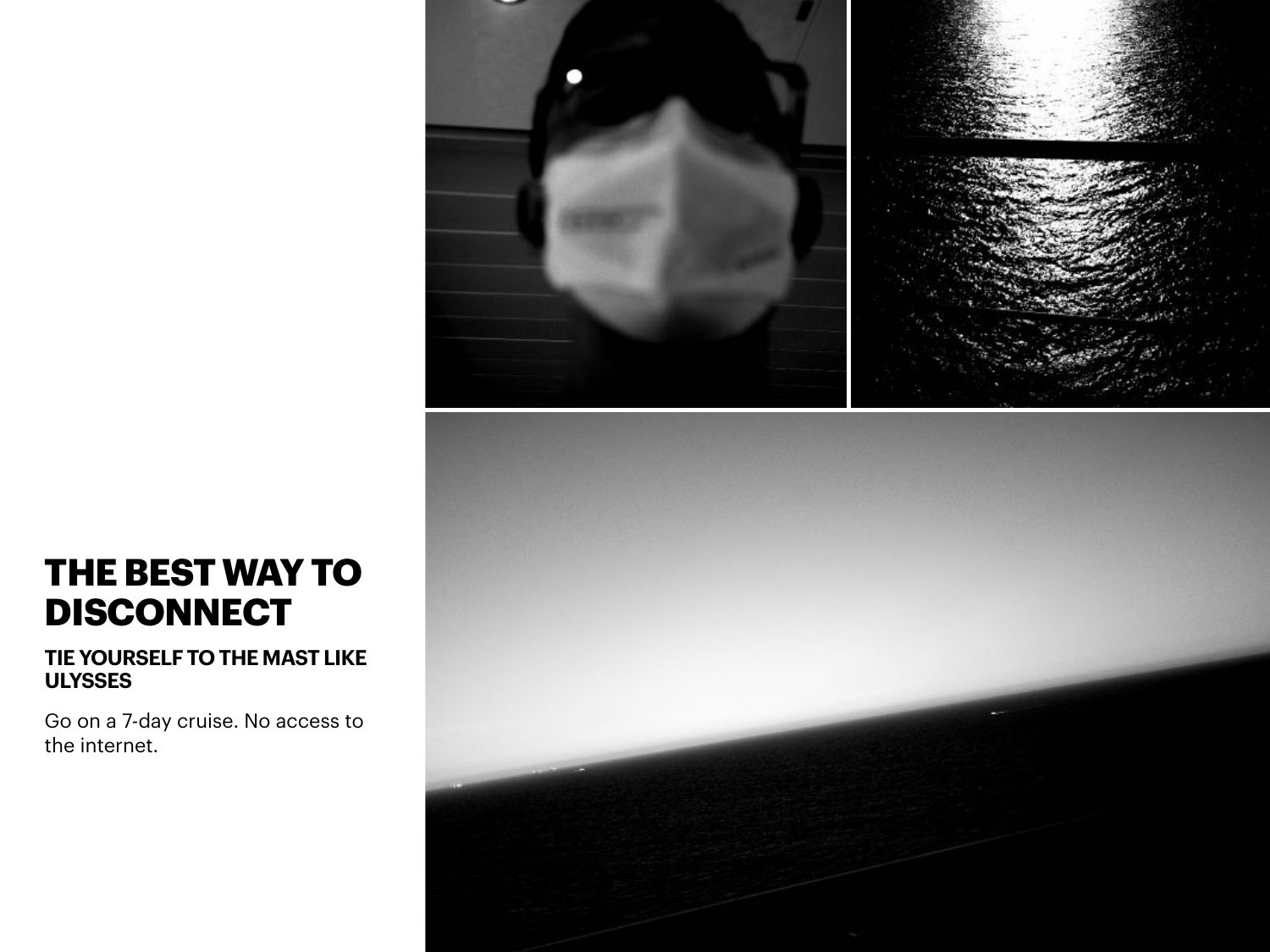

### **THE BEST WAY TO DISCONNECT**

### **TIE YOURSELF TO THE MAST LIKE ULYSSES**

Go on a 7-day cruise. No access to the internet.

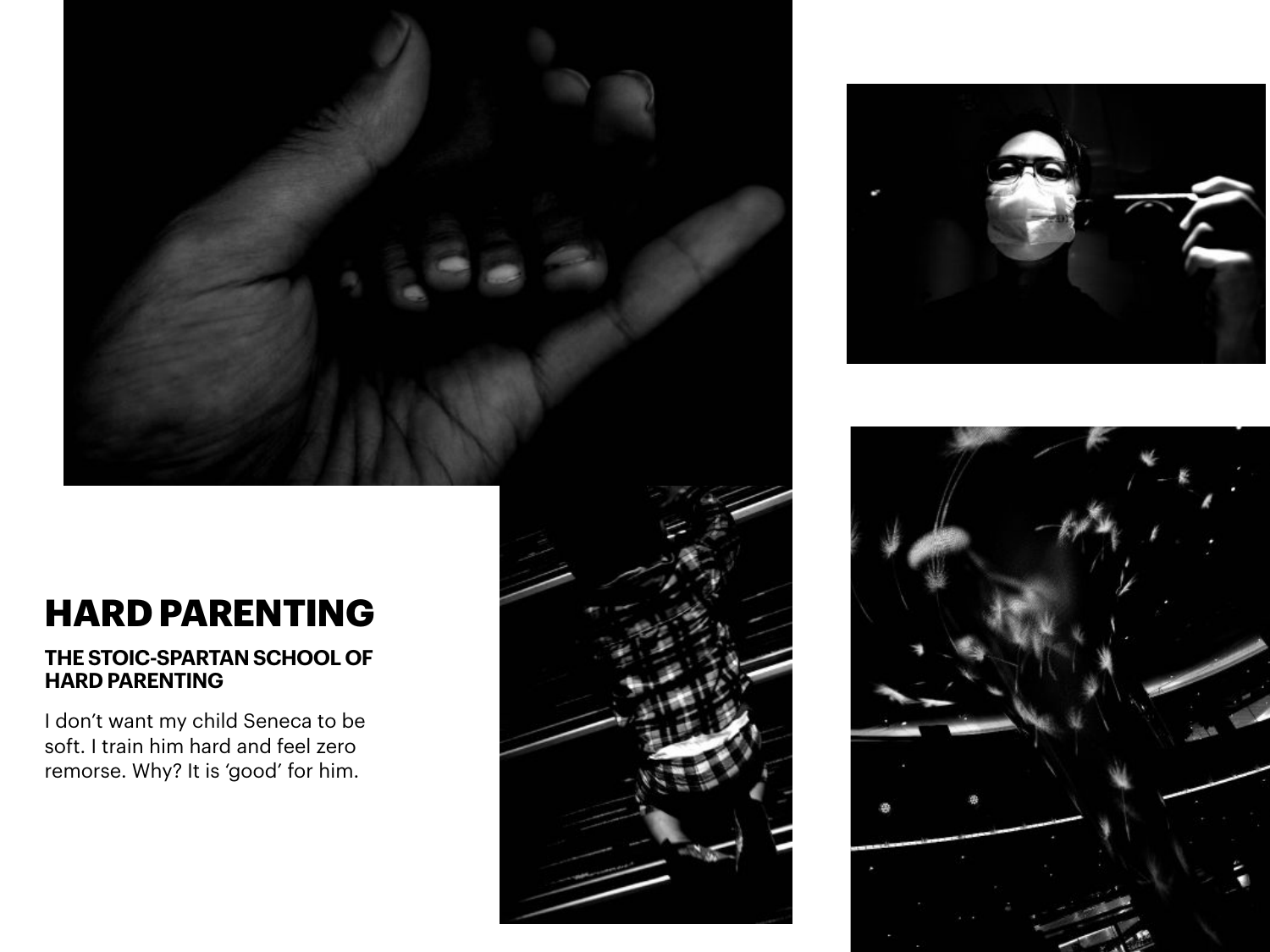



#### **THE STOIC-SPARTAN SCHOOL OF HARD PARENTING**

I don't want my child Seneca to be soft. I train him hard and feel zero remorse. Why? It is 'good' for him.



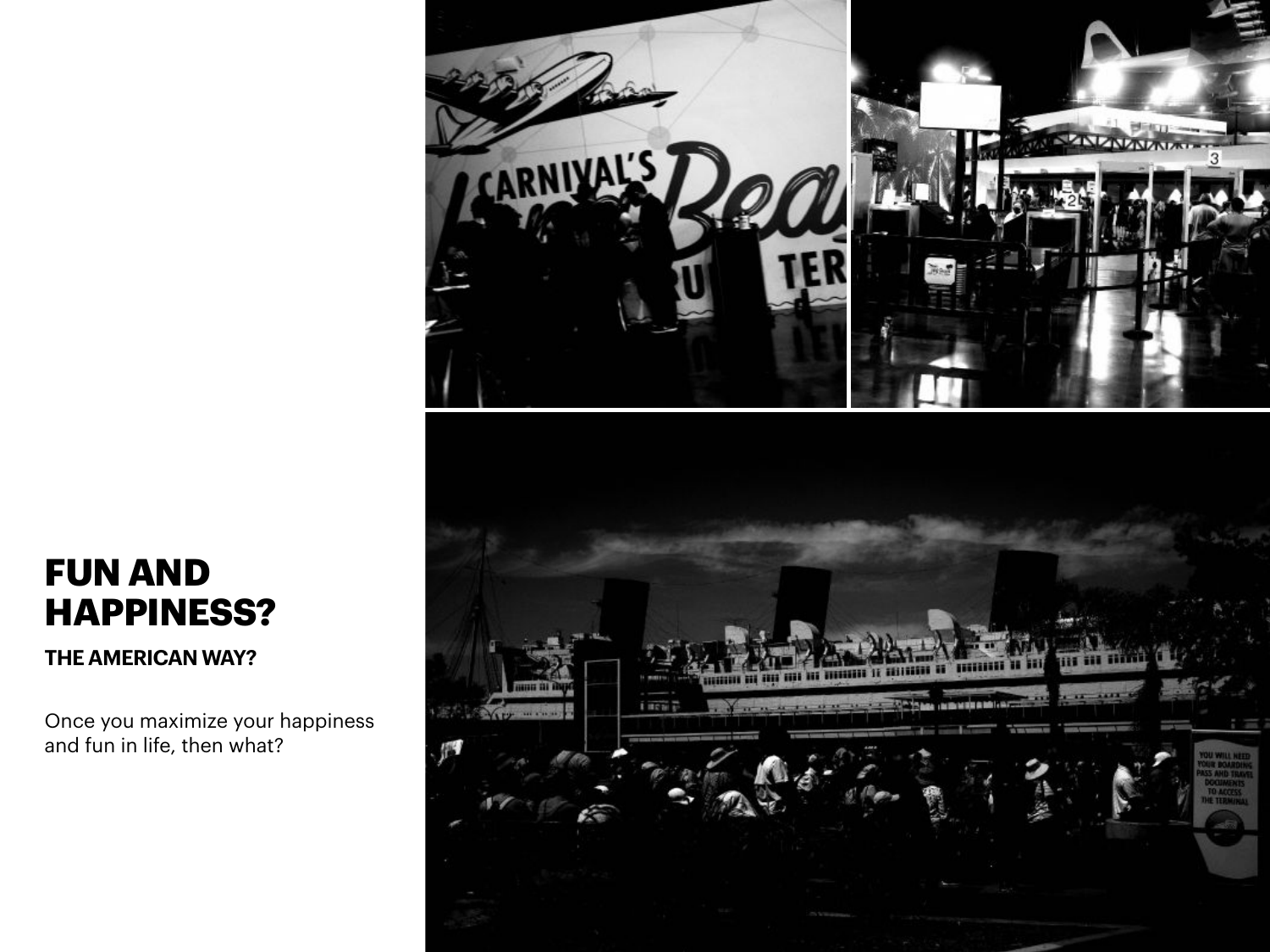

**THE AMERICAN WAY?**

Once you maximize your happiness and fun in life, then what?

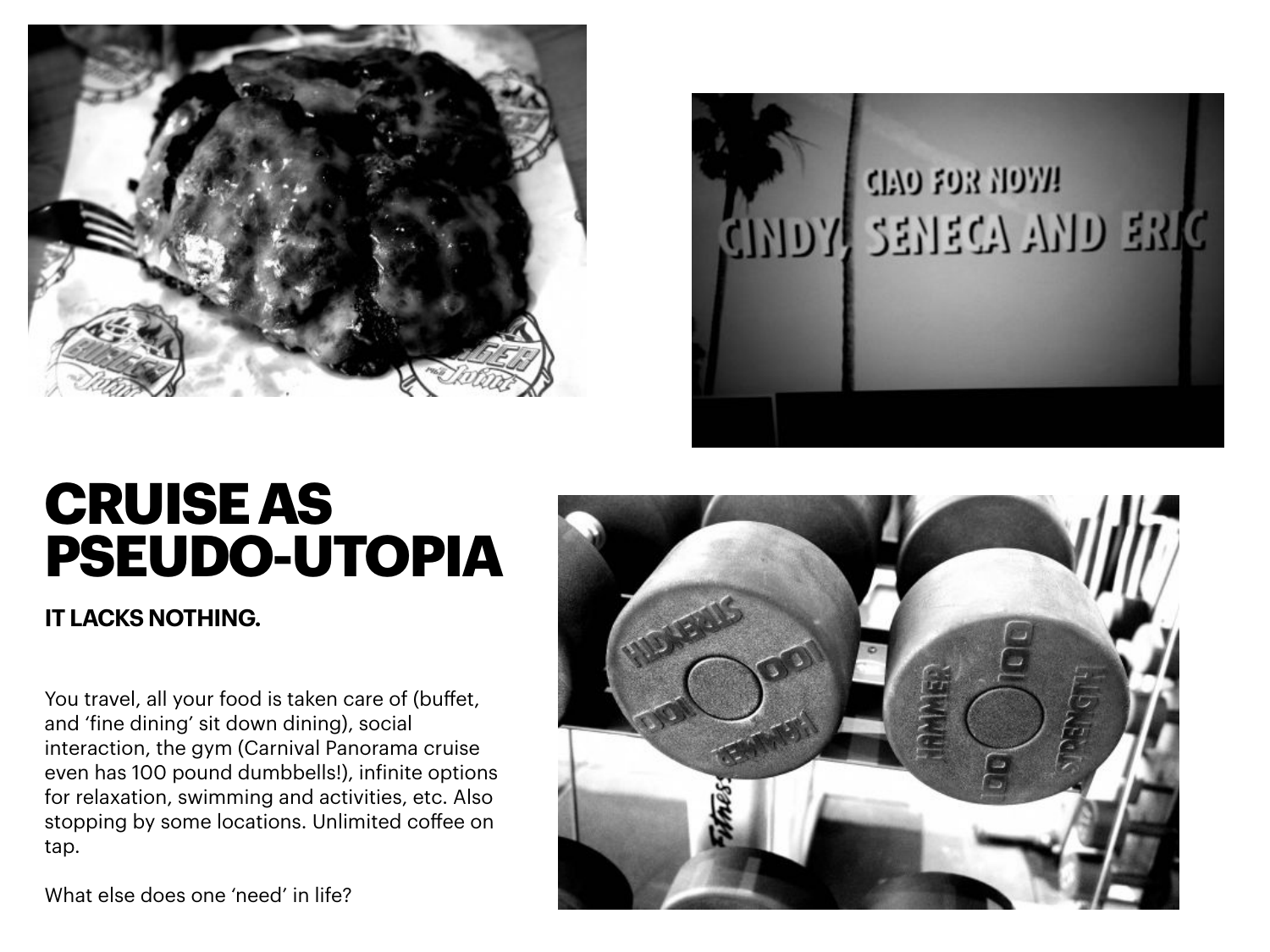



# **CRUISE AS PSEUDO-UTOPIA**

**IT LACKS NOTHING.**

You travel, all your food is taken care of (buffet, and 'fine dining' sit down dining), social interaction, the gym (Carnival Panorama cruise even has 100 pound dumbbells!), infinite options for relaxation, swimming and activities, etc. Also stopping by some locations. Unlimited coffee on tap.

What else does one 'need' in life?

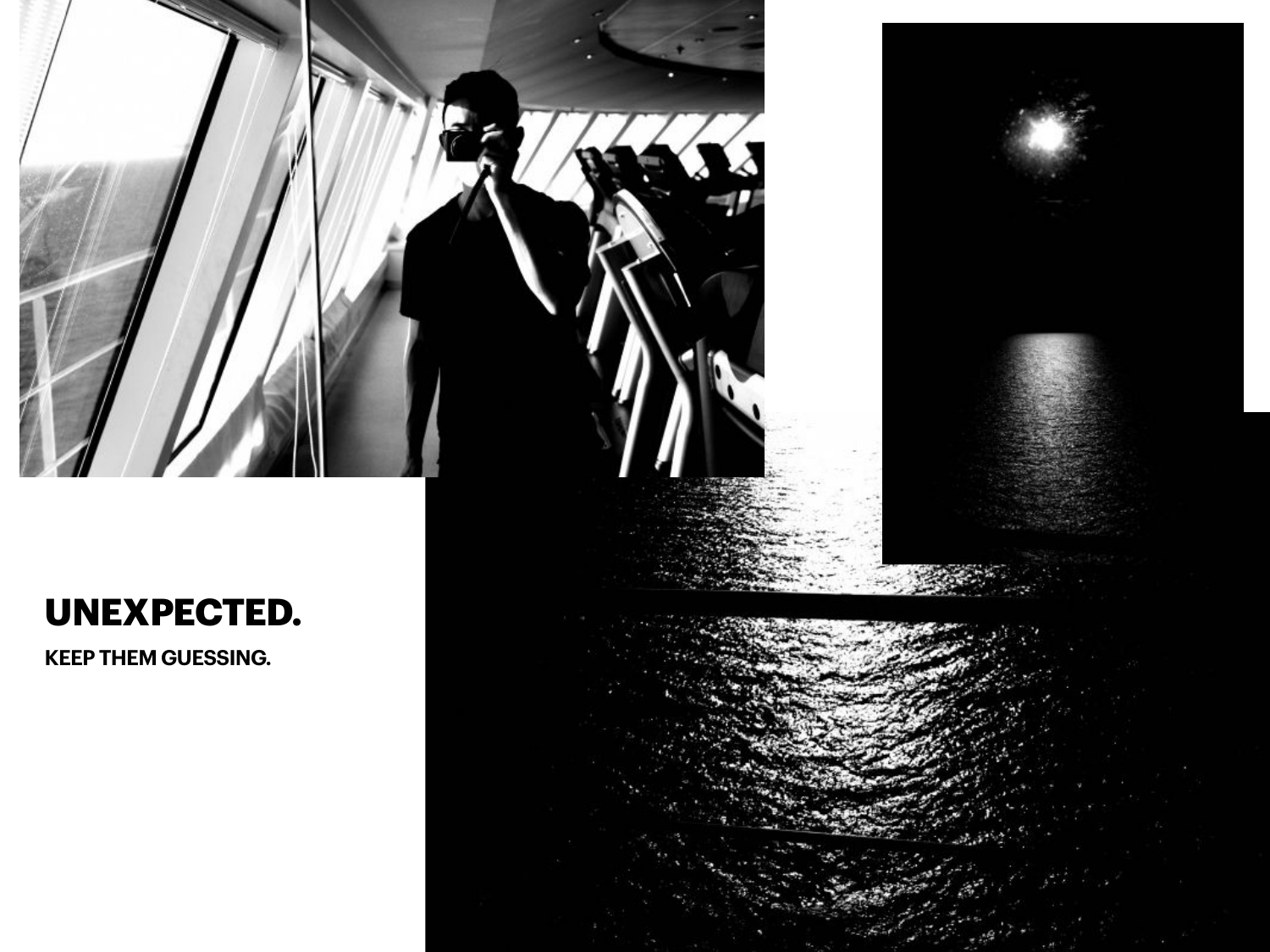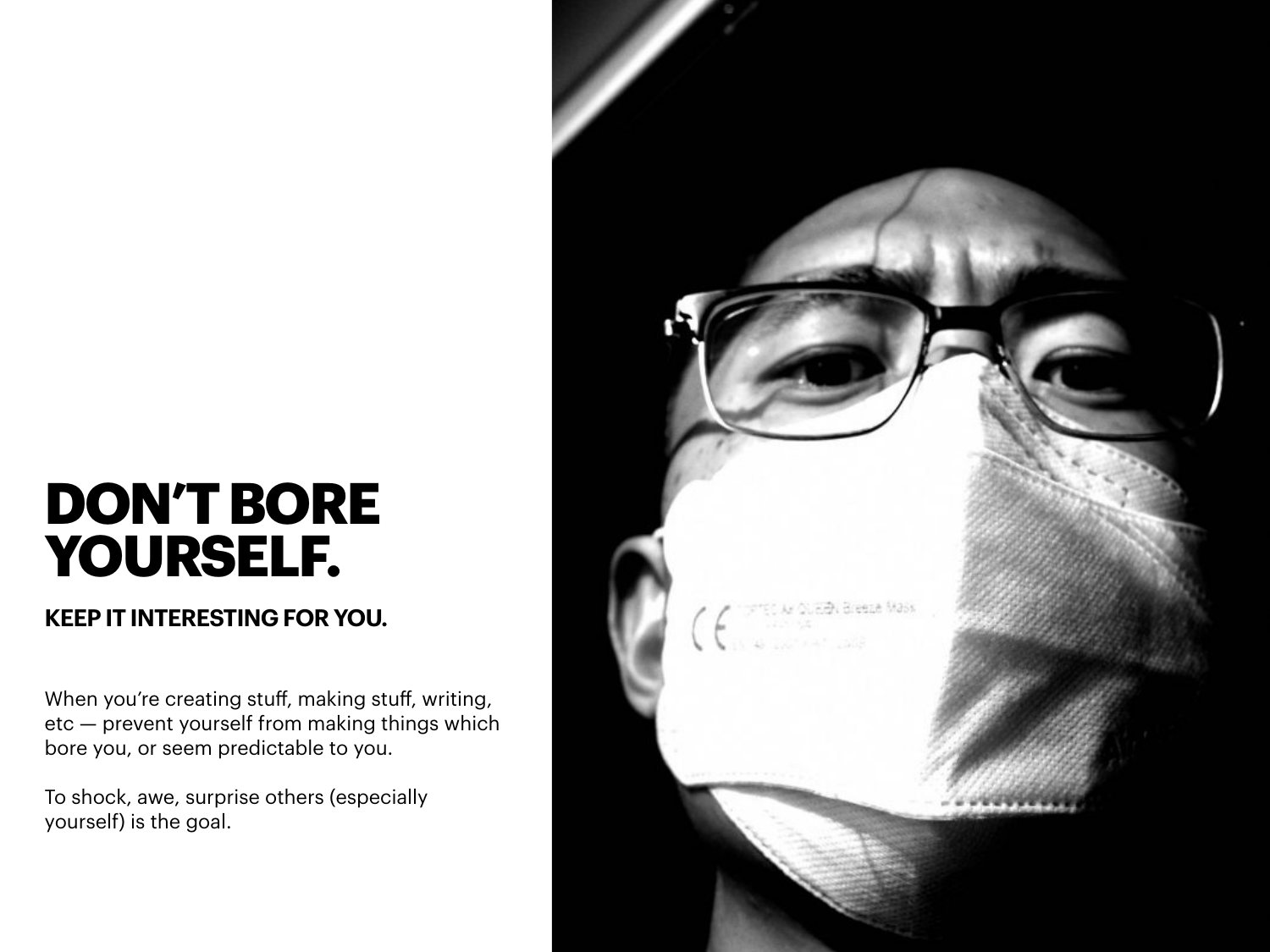# **DON'T BORE YOURSELF.**

### **KEEP IT INTERESTING FOR YOU.**

When you're creating stuff, making stuff, writing, etc — prevent yourself from making things which bore you, or seem predictable to you.

To shock, awe, surprise others (especially yourself) is the goal.

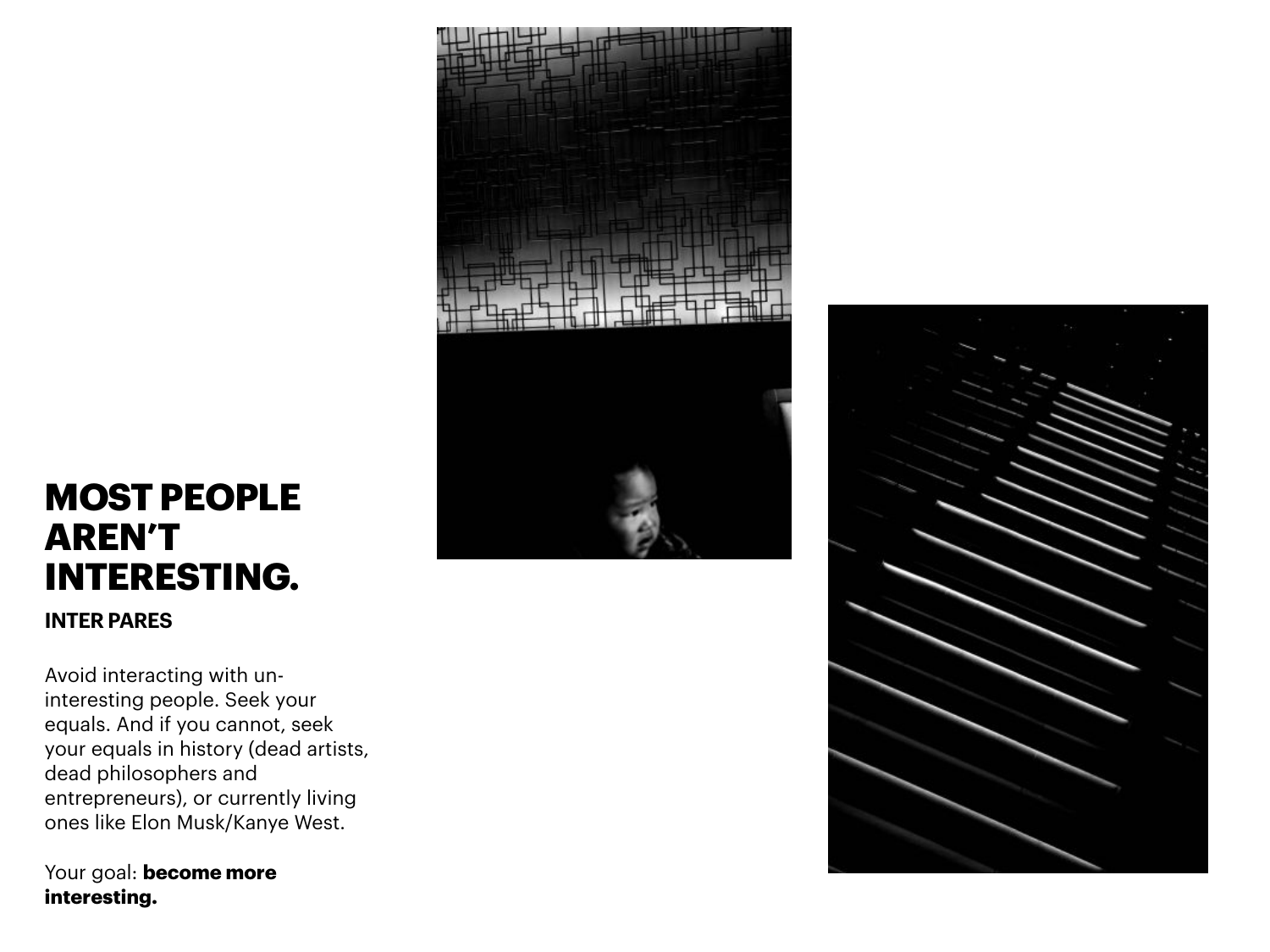### **MOST PEOPLE AREN'T INTERESTING.**

**INTER PARES**

Avoid interacting with uninteresting people. Seek your equals. And if you cannot, seek your equals in history (dead artists, dead philosophers and entrepreneurs), or currently living ones like Elon Musk/Kanye West.

Your goal: **become more interesting.**



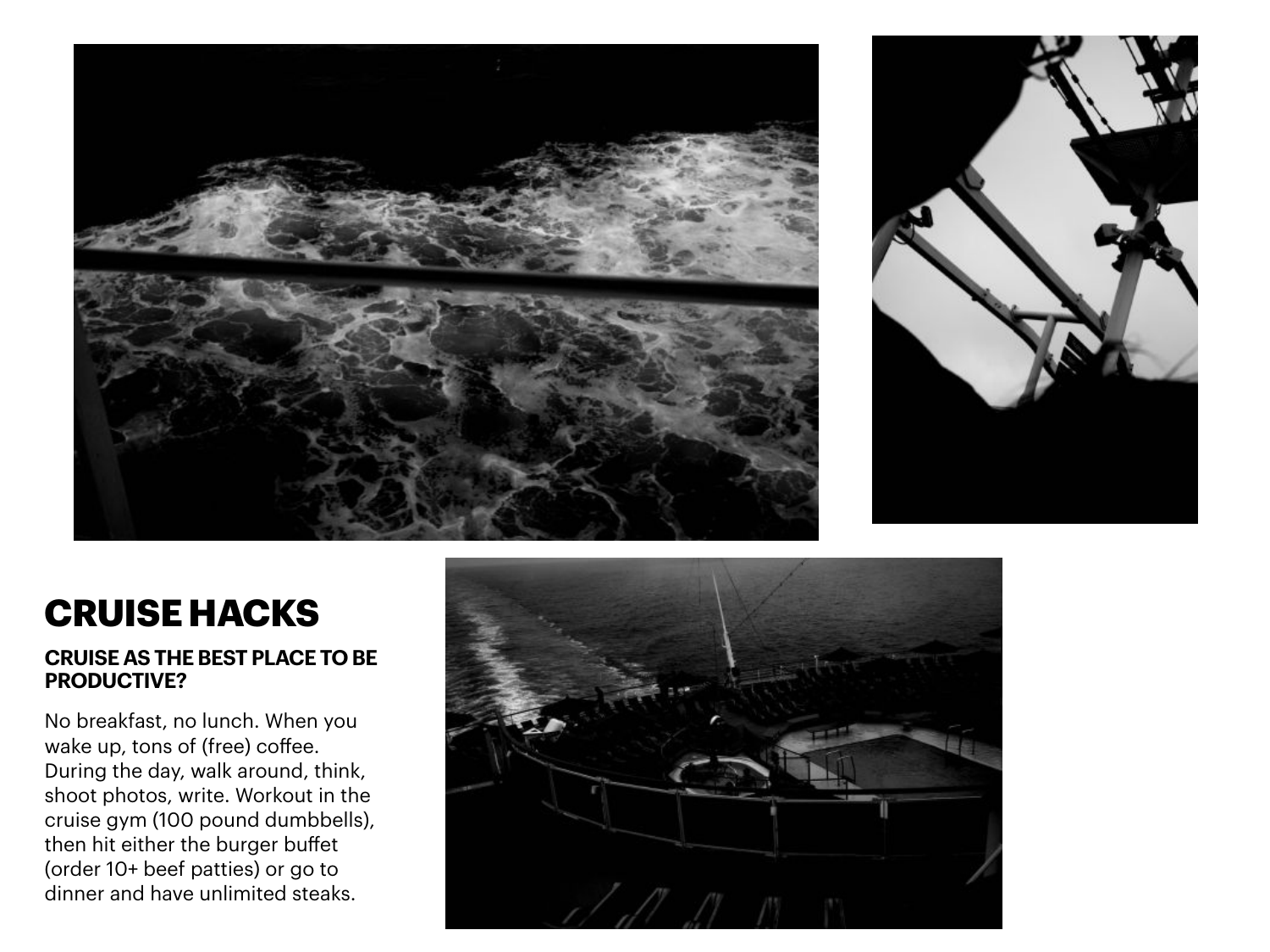



## **CRUISE HACKS**

#### **CRUISE AS THE BEST PLACE TO BE PRODUCTIVE?**

No breakfast, no lunch. When you wake up, tons of (free) coffee. During the day, walk around, think, shoot photos, write. Workout in the cruise gym (100 pound dumbbells), then hit either the burger buffet (order 10+ beef patties) or go to dinner and have unlimited steaks.

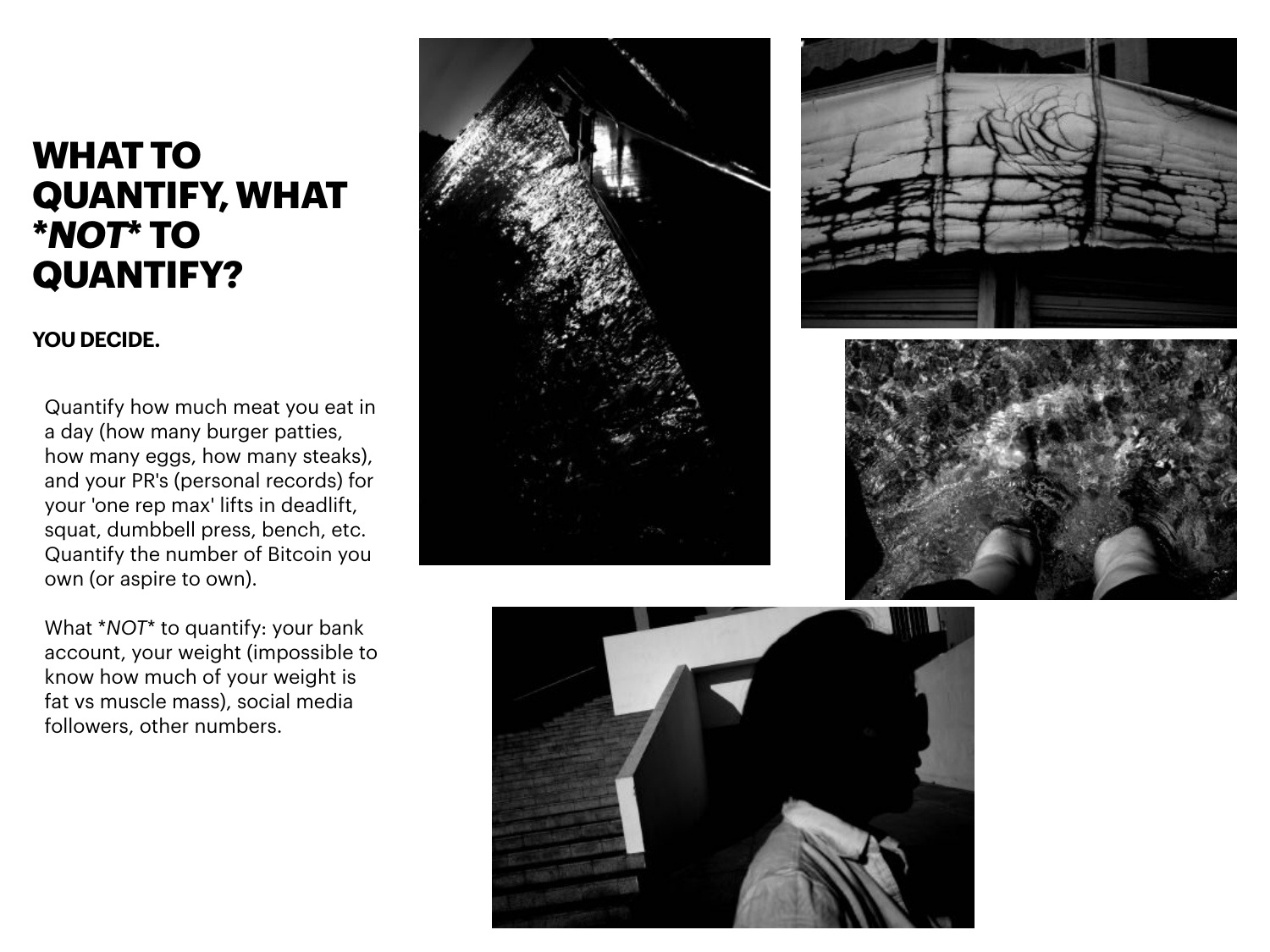### **WHAT TO QUANTIFY, WHAT \****NOT***\* TO QUANTIFY?**

### **YOU DECIDE.**

Quantify how much meat you eat in a day (how many burger patties, how many eggs, how many steaks), and your PR's (personal records) for your 'one rep max' lifts in deadlift, squat, dumbbell press, bench, etc. Quantify the number of Bitcoin you own (or aspire to own).

What \**NOT*\* to quantify: your bank account, your weight (impossible to know how much of your weight is fat vs muscle mass), social media followers, other numbers.